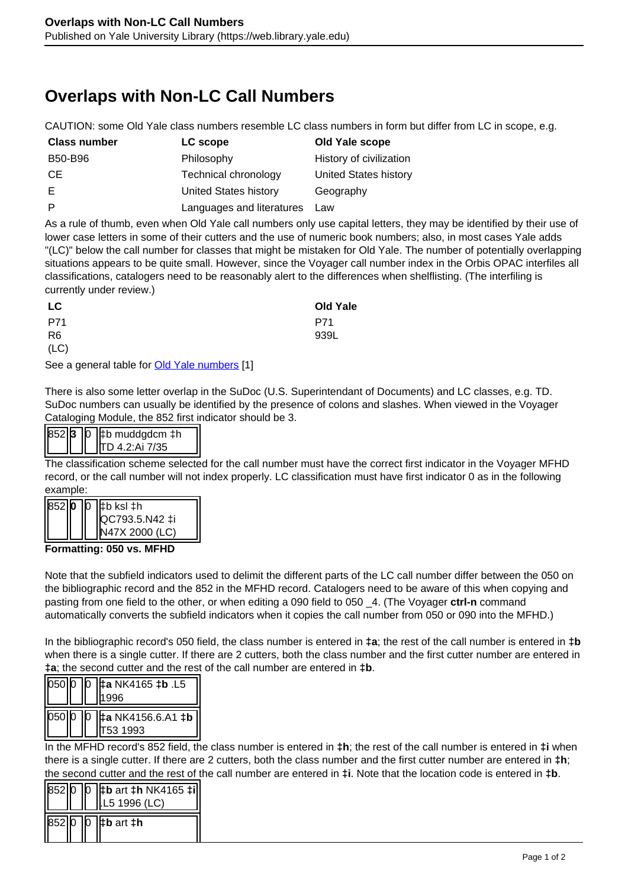## **Overlaps with Non-LC Call Numbers**

CAUTION: some Old Yale class numbers resemble LC class numbers in form but differ from LC in scope, e.g.

| <b>Class number</b> | LC scope                     | Old Yale scope          |
|---------------------|------------------------------|-------------------------|
| B50-B96             | Philosophy                   | History of civilization |
| CE.                 | Technical chronology         | United States history   |
| E                   | <b>United States history</b> | Geography               |
| P                   | Languages and literatures    | Law                     |

As a rule of thumb, even when Old Yale call numbers only use capital letters, they may be identified by their use of lower case letters in some of their cutters and the use of numeric book numbers; also, in most cases Yale adds "(LC)" below the call number for classes that might be mistaken for Old Yale. The number of potentially overlapping situations appears to be quite small. However, since the Voyager call number index in the Orbis OPAC interfiles all classifications, catalogers need to be reasonably alert to the differences when shelflisting. (The interfiling is currently under review.)

| LC             | <b>Old Yale</b> |
|----------------|-----------------|
| P71            | P71             |
| R <sub>6</sub> | 939L            |
| (LC)           |                 |

See a general table for **Old Yale numbers** [1]

There is also some letter overlap in the SuDoc (U.S. Superintendant of Documents) and LC classes, e.g. TD. SuDoc numbers can usually be identified by the presence of colons and slashes. When viewed in the Voyager Cataloging Module, the 852 first indicator should be 3.

|  | $ 852 $ 3 $ 0 $   $\sharp$ b muddgdcm $\ddagger$ h |
|--|----------------------------------------------------|
|  | IITD 4.2:Αἱ 7/35                                   |

The classification scheme selected for the call number must have the correct first indicator in the Voyager MFHD record, or the call number will not index properly. LC classification must have first indicator 0 as in the following example:

| l852llo | IŊ | I‡b ksl ‡h<br>  QC793.5.N42 ‡i |
|---------|----|--------------------------------|
|         |    | <b>V47X 2000 (LC)</b>          |

**Formatting: 050 vs. MFHD**

Note that the subfield indicators used to delimit the different parts of the LC call number differ between the 050 on the bibliographic record and the 852 in the MFHD record. Catalogers need to be aware of this when copying and pasting from one field to the other, or when editing a 090 field to 050 \_4. (The Voyager **ctrl-n** command automatically converts the subfield indicators when it copies the call number from 050 or 090 into the MFHD.)

In the bibliographic record's 050 field, the class number is entered in **‡a**; the rest of the call number is entered in **‡b** when there is a single cutter. If there are 2 cutters, both the class number and the first cutter number are entered in **‡a**; the second cutter and the rest of the call number are entered in **‡b**.

| 050 0 |  | <u>D</u>  ‡a NK4165 ‡b .L5<br>11 9 9 6      |
|-------|--|---------------------------------------------|
|       |  | 050 0 0 ±a NK4156.6.A1 <b>‡b</b><br>53 1993 |

In the MFHD record's 852 field, the class number is entered in **‡h**; the rest of the call number is entered in **‡i** when there is a single cutter. If there are 2 cutters, both the class number and the first cutter number are entered in **‡h**; the second cutter and the rest of the call number are entered in **‡i**. Note that the location code is entered in **‡b**.

| 852ID | IŊ | $ \sharp$ b art $\sharp$ h NK4165 $\sharp i $<br>L5 1996 (LC) |
|-------|----|---------------------------------------------------------------|
| 85210 | ın | tb art th                                                     |